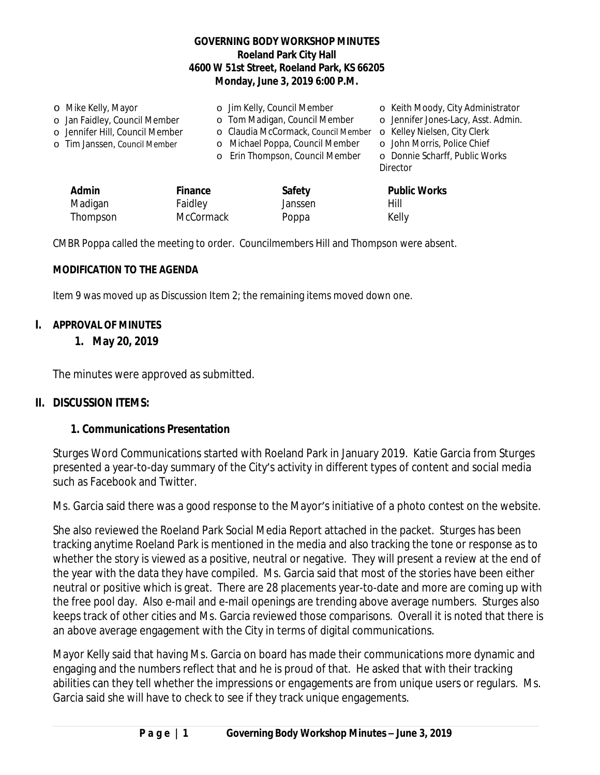### **GOVERNING BODY WORKSHOP MINUTES Roeland Park City Hall 4600 W 51st Street, Roeland Park, KS 66205 Monday, June 3, 2019 6:00 P.M.**

| o Mike Kelly, Mayor             |         | o Jim Kelly, Council Member         |  | o Keith Moody, City Administrator   |
|---------------------------------|---------|-------------------------------------|--|-------------------------------------|
| o Jan Faidley, Council Member   |         | o Tom Madigan, Council Member       |  | o Jennifer Jones-Lacy, Asst. Admin. |
| o Jennifer Hill, Council Member |         | o Claudia McCormack, Council Member |  | o Kelley Nielsen, City Clerk        |
| o Tim Janssen, Council Member   |         | o Michael Poppa, Council Member     |  | o John Morris, Police Chief         |
|                                 |         | o Erin Thompson, Council Member     |  | o Donnie Scharff, Public Works      |
|                                 |         |                                     |  | Director                            |
| <b>Admin</b>                    | Finance | Safety                              |  | <b>Public Works</b>                 |
| Madigan                         | Faidley | Janssen                             |  | Hill                                |

CMBR Poppa called the meeting to order. Councilmembers Hill and Thompson were absent.

Thompson McCormack Poppa Kelly

#### **MODIFICATION TO THE AGENDA**

Item 9 was moved up as Discussion Item 2; the remaining items moved down one.

#### **I. APPROVAL OF MINUTES**

#### **1. May 20, 2019**

The minutes were approved as submitted.

#### **II. DISCUSSION ITEMS:**

#### **1. Communications Presentation**

Sturges Word Communications started with Roeland Park in January 2019. Katie Garcia from Sturges presented a year-to-day summary of the City's activity in different types of content and social media such as Facebook and Twitter.

Ms. Garcia said there was a good response to the Mayor's initiative of a photo contest on the website.

She also reviewed the Roeland Park Social Media Report attached in the packet. Sturges has been tracking anytime Roeland Park is mentioned in the media and also tracking the tone or response as to whether the story is viewed as a positive, neutral or negative. They will present a review at the end of the year with the data they have compiled. Ms. Garcia said that most of the stories have been either neutral or positive which is great. There are 28 placements year-to-date and more are coming up with the free pool day. Also e-mail and e-mail openings are trending above average numbers. Sturges also keeps track of other cities and Ms. Garcia reviewed those comparisons. Overall it is noted that there is an above average engagement with the City in terms of digital communications.

Mayor Kelly said that having Ms. Garcia on board has made their communications more dynamic and engaging and the numbers reflect that and he is proud of that. He asked that with their tracking abilities can they tell whether the impressions or engagements are from unique users or regulars. Ms. Garcia said she will have to check to see if they track unique engagements.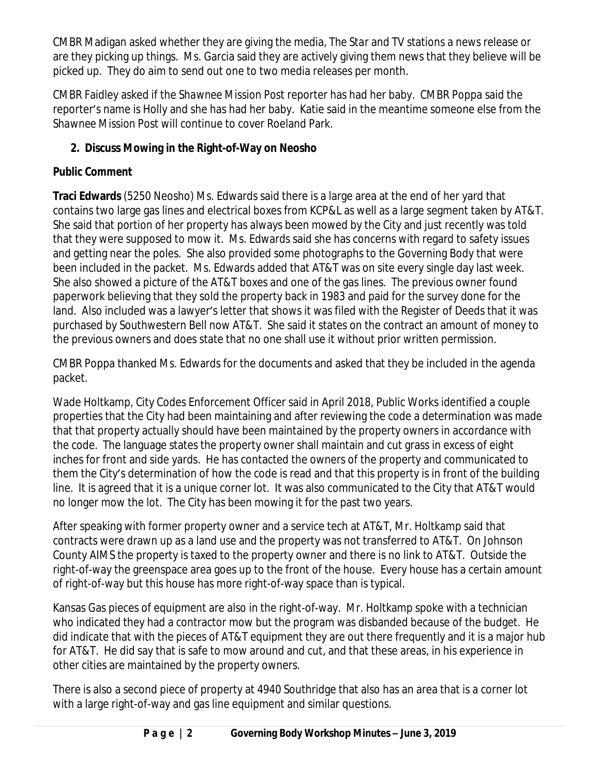CMBR Madigan asked whether they are giving the media, *The Star* and TV stations a news release or are they picking up things. Ms. Garcia said they are actively giving them news that they believe will be picked up. They do aim to send out one to two media releases per month.

CMBR Faidley asked if the *Shawnee Mission Post* reporter has had her baby. CMBR Poppa said the reporter's name is Holly and she has had her baby. Katie said in the meantime someone else from the *Shawnee Mission Post* will continue to cover Roeland Park.

# **2. Discuss Mowing in the Right-of-Way on Neosho**

# *Public Comment*

**Traci Edwards** (5250 Neosho) Ms. Edwards said there is a large area at the end of her yard that contains two large gas lines and electrical boxes from KCP&L as well as a large segment taken by AT&T. She said that portion of her property has always been mowed by the City and just recently was told that they were supposed to mow it. Ms. Edwards said she has concerns with regard to safety issues and getting near the poles. She also provided some photographs to the Governing Body that were been included in the packet. Ms. Edwards added that AT&T was on site every single day last week. She also showed a picture of the AT&T boxes and one of the gas lines. The previous owner found paperwork believing that they sold the property back in 1983 and paid for the survey done for the land. Also included was a lawyer's letter that shows it was filed with the Register of Deeds that it was purchased by Southwestern Bell now AT&T. She said it states on the contract an amount of money to the previous owners and does state that no one shall use it without prior written permission.

CMBR Poppa thanked Ms. Edwards for the documents and asked that they be included in the agenda packet.

Wade Holtkamp, City Codes Enforcement Officer said in April 2018, Public Works identified a couple properties that the City had been maintaining and after reviewing the code a determination was made that that property actually should have been maintained by the property owners in accordance with the code. The language states the property owner shall maintain and cut grass in excess of eight inches for front and side yards. He has contacted the owners of the property and communicated to them the City's determination of how the code is read and that this property is in front of the building line. It is agreed that it is a unique corner lot. It was also communicated to the City that AT&T would no longer mow the lot. The City has been mowing it for the past two years.

After speaking with former property owner and a service tech at AT&T, Mr. Holtkamp said that contracts were drawn up as a land use and the property was not transferred to AT&T. On Johnson County AIMS the property is taxed to the property owner and there is no link to AT&T. Outside the right-of-way the greenspace area goes up to the front of the house. Every house has a certain amount of right-of-way but this house has more right-of-way space than is typical.

Kansas Gas pieces of equipment are also in the right-of-way. Mr. Holtkamp spoke with a technician who indicated they had a contractor mow but the program was disbanded because of the budget. He did indicate that with the pieces of AT&T equipment they are out there frequently and it is a major hub for AT&T. He did say that is safe to mow around and cut, and that these areas, in his experience in other cities are maintained by the property owners.

There is also a second piece of property at 4940 Southridge that also has an area that is a corner lot with a large right-of-way and gas line equipment and similar questions.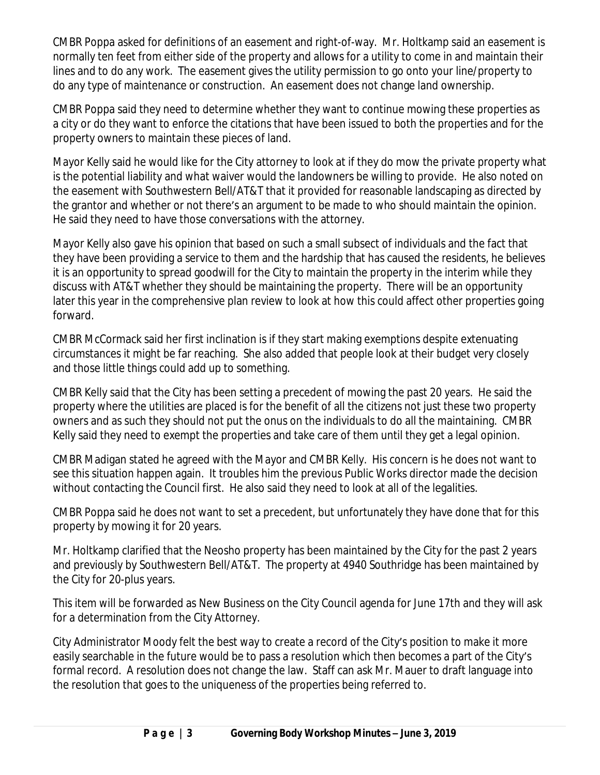CMBR Poppa asked for definitions of an easement and right-of-way. Mr. Holtkamp said an easement is normally ten feet from either side of the property and allows for a utility to come in and maintain their lines and to do any work. The easement gives the utility permission to go onto your line/property to do any type of maintenance or construction. An easement does not change land ownership.

CMBR Poppa said they need to determine whether they want to continue mowing these properties as a city or do they want to enforce the citations that have been issued to both the properties and for the property owners to maintain these pieces of land.

Mayor Kelly said he would like for the City attorney to look at if they do mow the private property what is the potential liability and what waiver would the landowners be willing to provide. He also noted on the easement with Southwestern Bell/AT&T that it provided for reasonable landscaping as directed by the grantor and whether or not there's an argument to be made to who should maintain the opinion. He said they need to have those conversations with the attorney.

Mayor Kelly also gave his opinion that based on such a small subsect of individuals and the fact that they have been providing a service to them and the hardship that has caused the residents, he believes it is an opportunity to spread goodwill for the City to maintain the property in the interim while they discuss with AT&T whether they should be maintaining the property. There will be an opportunity later this year in the comprehensive plan review to look at how this could affect other properties going forward.

CMBR McCormack said her first inclination is if they start making exemptions despite extenuating circumstances it might be far reaching. She also added that people look at their budget very closely and those little things could add up to something.

CMBR Kelly said that the City has been setting a precedent of mowing the past 20 years. He said the property where the utilities are placed is for the benefit of all the citizens not just these two property owners and as such they should not put the onus on the individuals to do all the maintaining. CMBR Kelly said they need to exempt the properties and take care of them until they get a legal opinion.

CMBR Madigan stated he agreed with the Mayor and CMBR Kelly. His concern is he does not want to see this situation happen again. It troubles him the previous Public Works director made the decision without contacting the Council first. He also said they need to look at all of the legalities.

CMBR Poppa said he does not want to set a precedent, but unfortunately they have done that for this property by mowing it for 20 years.

Mr. Holtkamp clarified that the Neosho property has been maintained by the City for the past 2 years and previously by Southwestern Bell/AT&T. The property at 4940 Southridge has been maintained by the City for 20-plus years.

This item will be forwarded as New Business on the City Council agenda for June 17th and they will ask for a determination from the City Attorney.

City Administrator Moody felt the best way to create a record of the City's position to make it more easily searchable in the future would be to pass a resolution which then becomes a part of the City's formal record. A resolution does not change the law. Staff can ask Mr. Mauer to draft language into the resolution that goes to the uniqueness of the properties being referred to.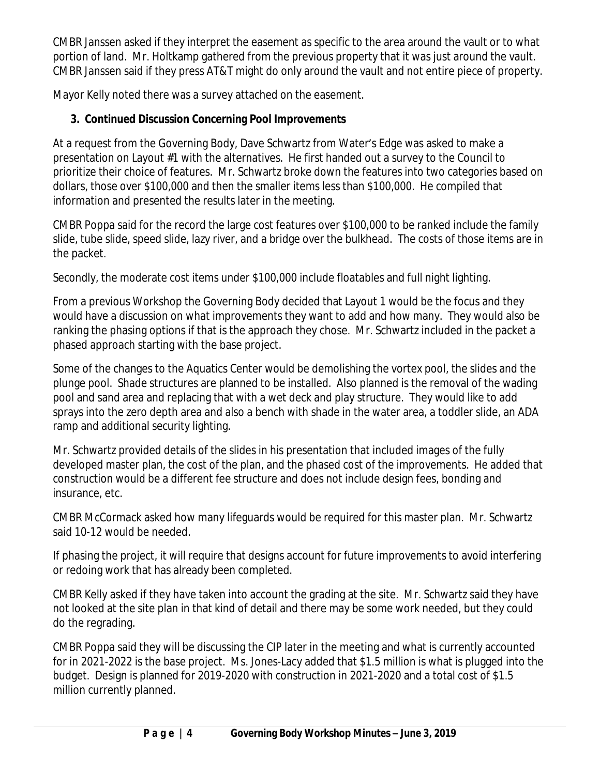CMBR Janssen asked if they interpret the easement as specific to the area around the vault or to what portion of land. Mr. Holtkamp gathered from the previous property that it was just around the vault. CMBR Janssen said if they press AT&T might do only around the vault and not entire piece of property.

Mayor Kelly noted there was a survey attached on the easement.

## **3. Continued Discussion Concerning Pool Improvements**

At a request from the Governing Body, Dave Schwartz from Water's Edge was asked to make a presentation on Layout #1 with the alternatives. He first handed out a survey to the Council to prioritize their choice of features. Mr. Schwartz broke down the features into two categories based on dollars, those over \$100,000 and then the smaller items less than \$100,000. He compiled that information and presented the results later in the meeting.

CMBR Poppa said for the record the large cost features over \$100,000 to be ranked include the family slide, tube slide, speed slide, lazy river, and a bridge over the bulkhead. The costs of those items are in the packet.

Secondly, the moderate cost items under \$100,000 include floatables and full night lighting.

From a previous Workshop the Governing Body decided that Layout 1 would be the focus and they would have a discussion on what improvements they want to add and how many. They would also be ranking the phasing options if that is the approach they chose. Mr. Schwartz included in the packet a phased approach starting with the base project.

Some of the changes to the Aquatics Center would be demolishing the vortex pool, the slides and the plunge pool. Shade structures are planned to be installed. Also planned is the removal of the wading pool and sand area and replacing that with a wet deck and play structure. They would like to add sprays into the zero depth area and also a bench with shade in the water area, a toddler slide, an ADA ramp and additional security lighting.

Mr. Schwartz provided details of the slides in his presentation that included images of the fully developed master plan, the cost of the plan, and the phased cost of the improvements. He added that construction would be a different fee structure and does not include design fees, bonding and insurance, etc.

CMBR McCormack asked how many lifeguards would be required for this master plan. Mr. Schwartz said 10-12 would be needed.

If phasing the project, it will require that designs account for future improvements to avoid interfering or redoing work that has already been completed.

CMBR Kelly asked if they have taken into account the grading at the site. Mr. Schwartz said they have not looked at the site plan in that kind of detail and there may be some work needed, but they could do the regrading.

CMBR Poppa said they will be discussing the CIP later in the meeting and what is currently accounted for in 2021-2022 is the base project. Ms. Jones-Lacy added that \$1.5 million is what is plugged into the budget. Design is planned for 2019-2020 with construction in 2021-2020 and a total cost of \$1.5 million currently planned.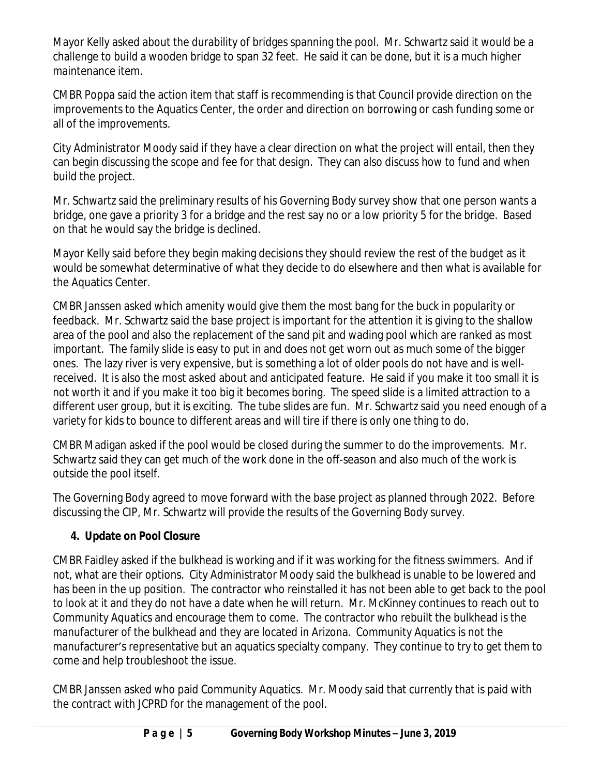Mayor Kelly asked about the durability of bridges spanning the pool. Mr. Schwartz said it would be a challenge to build a wooden bridge to span 32 feet. He said it can be done, but it is a much higher maintenance item.

CMBR Poppa said the action item that staff is recommending is that Council provide direction on the improvements to the Aquatics Center, the order and direction on borrowing or cash funding some or all of the improvements.

City Administrator Moody said if they have a clear direction on what the project will entail, then they can begin discussing the scope and fee for that design. They can also discuss how to fund and when build the project.

Mr. Schwartz said the preliminary results of his Governing Body survey show that one person wants a bridge, one gave a priority 3 for a bridge and the rest say no or a low priority 5 for the bridge. Based on that he would say the bridge is declined.

Mayor Kelly said before they begin making decisions they should review the rest of the budget as it would be somewhat determinative of what they decide to do elsewhere and then what is available for the Aquatics Center.

CMBR Janssen asked which amenity would give them the most bang for the buck in popularity or feedback. Mr. Schwartz said the base project is important for the attention it is giving to the shallow area of the pool and also the replacement of the sand pit and wading pool which are ranked as most important. The family slide is easy to put in and does not get worn out as much some of the bigger ones. The lazy river is very expensive, but is something a lot of older pools do not have and is wellreceived. It is also the most asked about and anticipated feature. He said if you make it too small it is not worth it and if you make it too big it becomes boring. The speed slide is a limited attraction to a different user group, but it is exciting. The tube slides are fun. Mr. Schwartz said you need enough of a variety for kids to bounce to different areas and will tire if there is only one thing to do.

CMBR Madigan asked if the pool would be closed during the summer to do the improvements. Mr. Schwartz said they can get much of the work done in the off-season and also much of the work is outside the pool itself.

The Governing Body agreed to move forward with the base project as planned through 2022. Before discussing the CIP, Mr. Schwartz will provide the results of the Governing Body survey.

## **4. Update on Pool Closure**

CMBR Faidley asked if the bulkhead is working and if it was working for the fitness swimmers. And if not, what are their options. City Administrator Moody said the bulkhead is unable to be lowered and has been in the up position. The contractor who reinstalled it has not been able to get back to the pool to look at it and they do not have a date when he will return. Mr. McKinney continues to reach out to Community Aquatics and encourage them to come. The contractor who rebuilt the bulkhead is the manufacturer of the bulkhead and they are located in Arizona. Community Aquatics is not the manufacturer's representative but an aquatics specialty company. They continue to try to get them to come and help troubleshoot the issue.

CMBR Janssen asked who paid Community Aquatics. Mr. Moody said that currently that is paid with the contract with JCPRD for the management of the pool.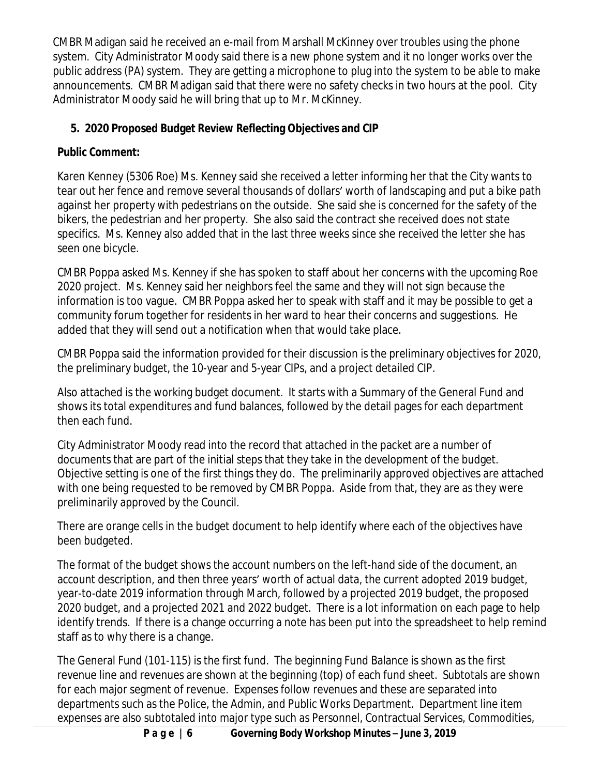CMBR Madigan said he received an e-mail from Marshall McKinney over troubles using the phone system. City Administrator Moody said there is a new phone system and it no longer works over the public address (PA) system. They are getting a microphone to plug into the system to be able to make announcements. CMBR Madigan said that there were no safety checks in two hours at the pool. City Administrator Moody said he will bring that up to Mr. McKinney.

# **5. 2020 Proposed Budget Review Reflecting Objectives and CIP**

# *Public Comment:*

Karen Kenney (5306 Roe) Ms. Kenney said she received a letter informing her that the City wants to tear out her fence and remove several thousands of dollars' worth of landscaping and put a bike path against her property with pedestrians on the outside. She said she is concerned for the safety of the bikers, the pedestrian and her property. She also said the contract she received does not state specifics. Ms. Kenney also added that in the last three weeks since she received the letter she has seen one bicycle.

CMBR Poppa asked Ms. Kenney if she has spoken to staff about her concerns with the upcoming Roe 2020 project. Ms. Kenney said her neighbors feel the same and they will not sign because the information is too vague. CMBR Poppa asked her to speak with staff and it may be possible to get a community forum together for residents in her ward to hear their concerns and suggestions. He added that they will send out a notification when that would take place.

CMBR Poppa said the information provided for their discussion is the preliminary objectives for 2020, the preliminary budget, the 10-year and 5-year CIPs, and a project detailed CIP.

Also attached is the working budget document. It starts with a Summary of the General Fund and shows its total expenditures and fund balances, followed by the detail pages for each department then each fund.

City Administrator Moody read into the record that attached in the packet are a number of documents that are part of the initial steps that they take in the development of the budget. Objective setting is one of the first things they do. The preliminarily approved objectives are attached with one being requested to be removed by CMBR Poppa. Aside from that, they are as they were preliminarily approved by the Council.

There are orange cells in the budget document to help identify where each of the objectives have been budgeted.

The format of the budget shows the account numbers on the left-hand side of the document, an account description, and then three years' worth of actual data, the current adopted 2019 budget, year-to-date 2019 information through March, followed by a projected 2019 budget, the proposed 2020 budget, and a projected 2021 and 2022 budget. There is a lot information on each page to help identify trends. If there is a change occurring a note has been put into the spreadsheet to help remind staff as to why there is a change.

The General Fund (101-115) is the first fund. The beginning Fund Balance is shown as the first revenue line and revenues are shown at the beginning (top) of each fund sheet. Subtotals are shown for each major segment of revenue. Expenses follow revenues and these are separated into departments such as the Police, the Admin, and Public Works Department. Department line item expenses are also subtotaled into major type such as Personnel, Contractual Services, Commodities,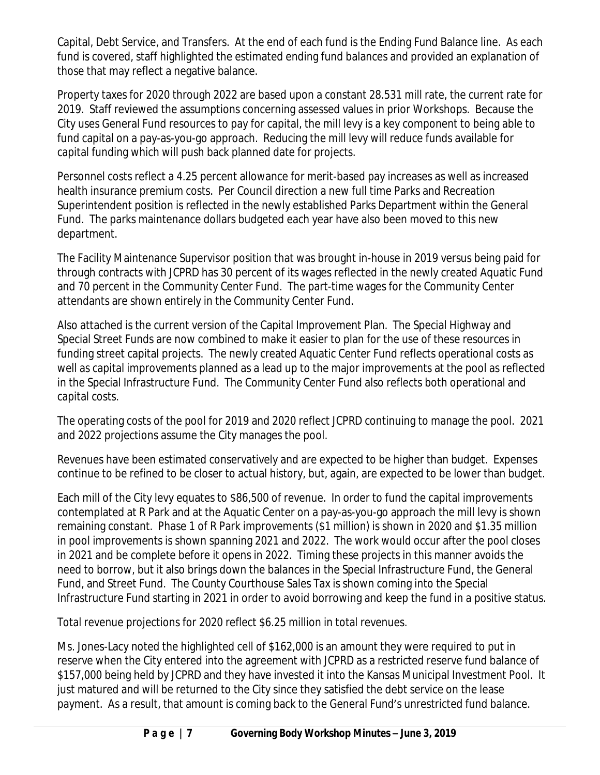Capital, Debt Service, and Transfers. At the end of each fund is the Ending Fund Balance line. As each fund is covered, staff highlighted the estimated ending fund balances and provided an explanation of those that may reflect a negative balance.

Property taxes for 2020 through 2022 are based upon a constant 28.531 mill rate, the current rate for 2019. Staff reviewed the assumptions concerning assessed values in prior Workshops. Because the City uses General Fund resources to pay for capital, the mill levy is a key component to being able to fund capital on a pay-as-you-go approach. Reducing the mill levy will reduce funds available for capital funding which will push back planned date for projects.

Personnel costs reflect a 4.25 percent allowance for merit-based pay increases as well as increased health insurance premium costs. Per Council direction a new full time Parks and Recreation Superintendent position is reflected in the newly established Parks Department within the General Fund. The parks maintenance dollars budgeted each year have also been moved to this new department.

The Facility Maintenance Supervisor position that was brought in-house in 2019 versus being paid for through contracts with JCPRD has 30 percent of its wages reflected in the newly created Aquatic Fund and 70 percent in the Community Center Fund. The part-time wages for the Community Center attendants are shown entirely in the Community Center Fund.

Also attached is the current version of the Capital Improvement Plan. The Special Highway and Special Street Funds are now combined to make it easier to plan for the use of these resources in funding street capital projects. The newly created Aquatic Center Fund reflects operational costs as well as capital improvements planned as a lead up to the major improvements at the pool as reflected in the Special Infrastructure Fund. The Community Center Fund also reflects both operational and capital costs.

The operating costs of the pool for 2019 and 2020 reflect JCPRD continuing to manage the pool. 2021 and 2022 projections assume the City manages the pool.

Revenues have been estimated conservatively and are expected to be higher than budget. Expenses continue to be refined to be closer to actual history, but, again, are expected to be lower than budget.

Each mill of the City levy equates to \$86,500 of revenue. In order to fund the capital improvements contemplated at R Park and at the Aquatic Center on a pay-as-you-go approach the mill levy is shown remaining constant. Phase 1 of R Park improvements (\$1 million) is shown in 2020 and \$1.35 million in pool improvements is shown spanning 2021 and 2022. The work would occur after the pool closes in 2021 and be complete before it opens in 2022. Timing these projects in this manner avoids the need to borrow, but it also brings down the balances in the Special Infrastructure Fund, the General Fund, and Street Fund. The County Courthouse Sales Tax is shown coming into the Special Infrastructure Fund starting in 2021 in order to avoid borrowing and keep the fund in a positive status.

Total revenue projections for 2020 reflect \$6.25 million in total revenues.

Ms. Jones-Lacy noted the highlighted cell of \$162,000 is an amount they were required to put in reserve when the City entered into the agreement with JCPRD as a restricted reserve fund balance of \$157,000 being held by JCPRD and they have invested it into the Kansas Municipal Investment Pool. It just matured and will be returned to the City since they satisfied the debt service on the lease payment. As a result, that amount is coming back to the General Fund's unrestricted fund balance.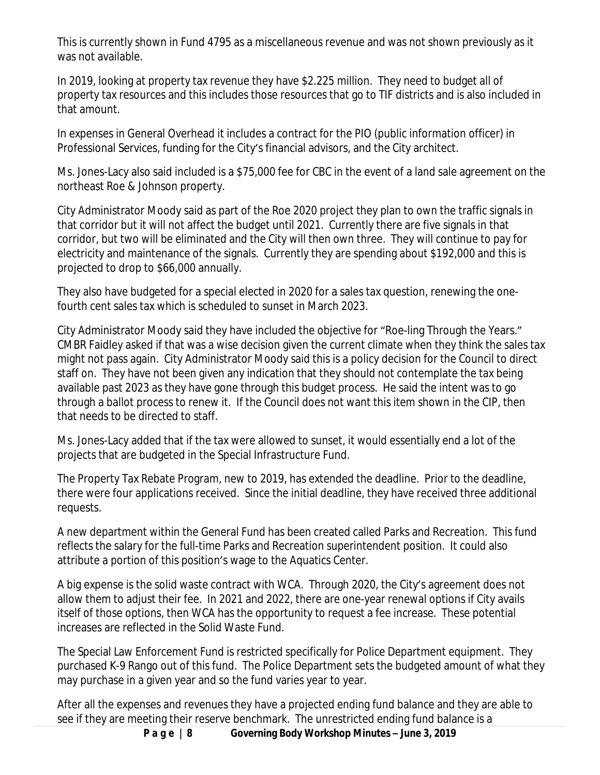This is currently shown in Fund 4795 as a miscellaneous revenue and was not shown previously as it was not available.

In 2019, looking at property tax revenue they have \$2.225 million. They need to budget all of property tax resources and this includes those resources that go to TIF districts and is also included in that amount.

In expenses in General Overhead it includes a contract for the PIO (public information officer) in Professional Services, funding for the City's financial advisors, and the City architect.

Ms. Jones-Lacy also said included is a \$75,000 fee for CBC in the event of a land sale agreement on the northeast Roe & Johnson property.

City Administrator Moody said as part of the Roe 2020 project they plan to own the traffic signals in that corridor but it will not affect the budget until 2021. Currently there are five signals in that corridor, but two will be eliminated and the City will then own three. They will continue to pay for electricity and maintenance of the signals. Currently they are spending about \$192,000 and this is projected to drop to \$66,000 annually.

They also have budgeted for a special elected in 2020 for a sales tax question, renewing the onefourth cent sales tax which is scheduled to sunset in March 2023.

City Administrator Moody said they have included the objective for "Roe-ling Through the Years." CMBR Faidley asked if that was a wise decision given the current climate when they think the sales tax might not pass again. City Administrator Moody said this is a policy decision for the Council to direct staff on. They have not been given any indication that they should not contemplate the tax being available past 2023 as they have gone through this budget process. He said the intent was to go through a ballot process to renew it. If the Council does not want this item shown in the CIP, then that needs to be directed to staff.

Ms. Jones-Lacy added that if the tax were allowed to sunset, it would essentially end a lot of the projects that are budgeted in the Special Infrastructure Fund.

The Property Tax Rebate Program, new to 2019, has extended the deadline. Prior to the deadline, there were four applications received. Since the initial deadline, they have received three additional requests.

A new department within the General Fund has been created called Parks and Recreation. This fund reflects the salary for the full-time Parks and Recreation superintendent position. It could also attribute a portion of this position's wage to the Aquatics Center.

A big expense is the solid waste contract with WCA. Through 2020, the City's agreement does not allow them to adjust their fee. In 2021 and 2022, there are one-year renewal options if City avails itself of those options, then WCA has the opportunity to request a fee increase. These potential increases are reflected in the Solid Waste Fund.

The Special Law Enforcement Fund is restricted specifically for Police Department equipment. They purchased K-9 Rango out of this fund. The Police Department sets the budgeted amount of what they may purchase in a given year and so the fund varies year to year.

After all the expenses and revenues they have a projected ending fund balance and they are able to see if they are meeting their reserve benchmark. The unrestricted ending fund balance is a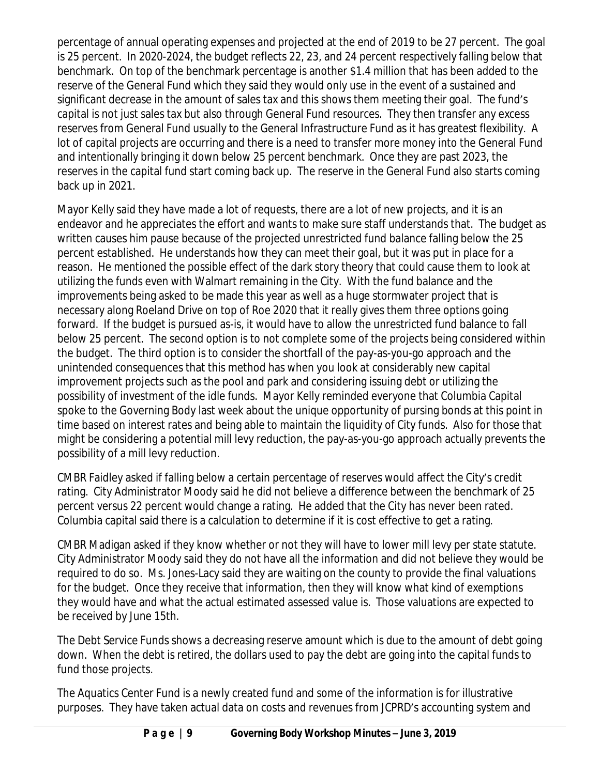percentage of annual operating expenses and projected at the end of 2019 to be 27 percent. The goal is 25 percent. In 2020-2024, the budget reflects 22, 23, and 24 percent respectively falling below that benchmark. On top of the benchmark percentage is another \$1.4 million that has been added to the reserve of the General Fund which they said they would only use in the event of a sustained and significant decrease in the amount of sales tax and this shows them meeting their goal. The fund's capital is not just sales tax but also through General Fund resources. They then transfer any excess reserves from General Fund usually to the General Infrastructure Fund as it has greatest flexibility. A lot of capital projects are occurring and there is a need to transfer more money into the General Fund and intentionally bringing it down below 25 percent benchmark. Once they are past 2023, the reserves in the capital fund start coming back up. The reserve in the General Fund also starts coming back up in 2021.

Mayor Kelly said they have made a lot of requests, there are a lot of new projects, and it is an endeavor and he appreciates the effort and wants to make sure staff understands that. The budget as written causes him pause because of the projected unrestricted fund balance falling below the 25 percent established. He understands how they can meet their goal, but it was put in place for a reason. He mentioned the possible effect of the dark story theory that could cause them to look at utilizing the funds even with Walmart remaining in the City. With the fund balance and the improvements being asked to be made this year as well as a huge stormwater project that is necessary along Roeland Drive on top of Roe 2020 that it really gives them three options going forward. If the budget is pursued as-is, it would have to allow the unrestricted fund balance to fall below 25 percent. The second option is to not complete some of the projects being considered within the budget. The third option is to consider the shortfall of the pay-as-you-go approach and the unintended consequences that this method has when you look at considerably new capital improvement projects such as the pool and park and considering issuing debt or utilizing the possibility of investment of the idle funds. Mayor Kelly reminded everyone that Columbia Capital spoke to the Governing Body last week about the unique opportunity of pursing bonds at this point in time based on interest rates and being able to maintain the liquidity of City funds. Also for those that might be considering a potential mill levy reduction, the pay-as-you-go approach actually prevents the possibility of a mill levy reduction.

CMBR Faidley asked if falling below a certain percentage of reserves would affect the City's credit rating. City Administrator Moody said he did not believe a difference between the benchmark of 25 percent versus 22 percent would change a rating. He added that the City has never been rated. Columbia capital said there is a calculation to determine if it is cost effective to get a rating.

CMBR Madigan asked if they know whether or not they will have to lower mill levy per state statute. City Administrator Moody said they do not have all the information and did not believe they would be required to do so. Ms. Jones-Lacy said they are waiting on the county to provide the final valuations for the budget. Once they receive that information, then they will know what kind of exemptions they would have and what the actual estimated assessed value is. Those valuations are expected to be received by June 15th.

The Debt Service Funds shows a decreasing reserve amount which is due to the amount of debt going down. When the debt is retired, the dollars used to pay the debt are going into the capital funds to fund those projects.

The Aquatics Center Fund is a newly created fund and some of the information is for illustrative purposes. They have taken actual data on costs and revenues from JCPRD's accounting system and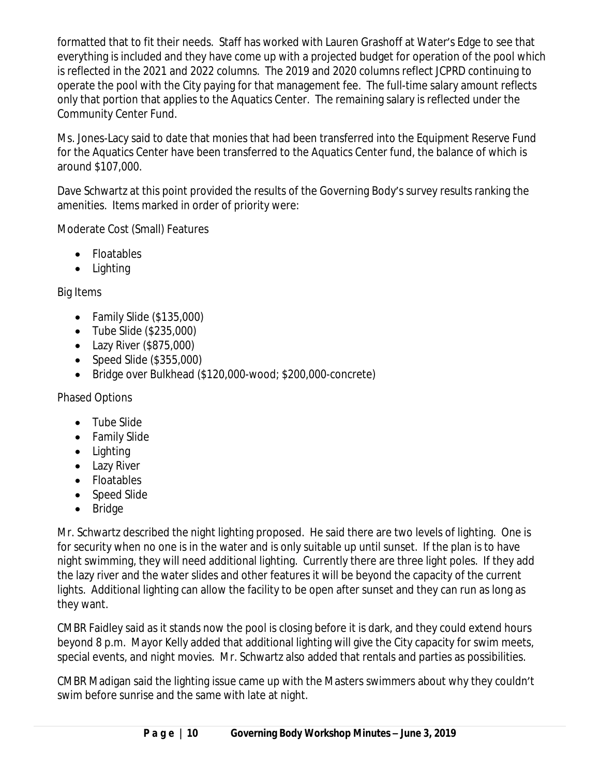formatted that to fit their needs. Staff has worked with Lauren Grashoff at Water's Edge to see that everything is included and they have come up with a projected budget for operation of the pool which is reflected in the 2021 and 2022 columns. The 2019 and 2020 columns reflect JCPRD continuing to operate the pool with the City paying for that management fee. The full-time salary amount reflects only that portion that applies to the Aquatics Center. The remaining salary is reflected under the Community Center Fund.

Ms. Jones-Lacy said to date that monies that had been transferred into the Equipment Reserve Fund for the Aquatics Center have been transferred to the Aquatics Center fund, the balance of which is around \$107,000.

Dave Schwartz at this point provided the results of the Governing Body's survey results ranking the amenities. Items marked in order of priority were:

Moderate Cost (Small) Features

- Floatables
- Lighting

Big Items

- Family Slide (\$135,000)
- Tube Slide (\$235,000)
- Lazy River (\$875,000)
- $\bullet$  Speed Slide (\$355,000)
- Bridge over Bulkhead (\$120,000-wood; \$200,000-concrete)

Phased Options

- Tube Slide
- Family Slide
- Lighting
- Lazy River
- Floatables
- Speed Slide
- Bridge

Mr. Schwartz described the night lighting proposed. He said there are two levels of lighting. One is for security when no one is in the water and is only suitable up until sunset. If the plan is to have night swimming, they will need additional lighting. Currently there are three light poles. If they add the lazy river and the water slides and other features it will be beyond the capacity of the current lights. Additional lighting can allow the facility to be open after sunset and they can run as long as they want.

CMBR Faidley said as it stands now the pool is closing before it is dark, and they could extend hours beyond 8 p.m. Mayor Kelly added that additional lighting will give the City capacity for swim meets, special events, and night movies. Mr. Schwartz also added that rentals and parties as possibilities.

CMBR Madigan said the lighting issue came up with the Masters swimmers about why they couldn't swim before sunrise and the same with late at night.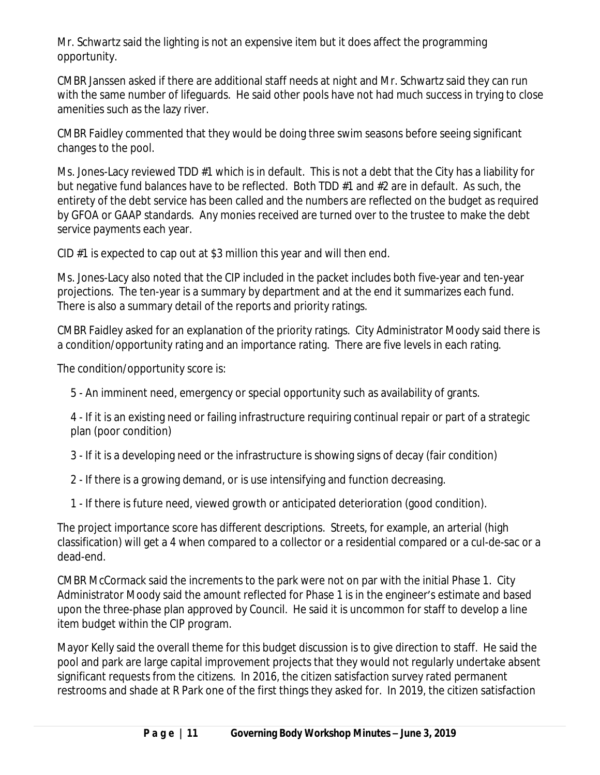Mr. Schwartz said the lighting is not an expensive item but it does affect the programming opportunity.

CMBR Janssen asked if there are additional staff needs at night and Mr. Schwartz said they can run with the same number of lifeguards. He said other pools have not had much success in trying to close amenities such as the lazy river.

CMBR Faidley commented that they would be doing three swim seasons before seeing significant changes to the pool.

Ms. Jones-Lacy reviewed TDD #1 which is in default. This is not a debt that the City has a liability for but negative fund balances have to be reflected. Both TDD #1 and #2 are in default. As such, the entirety of the debt service has been called and the numbers are reflected on the budget as required by GFOA or GAAP standards. Any monies received are turned over to the trustee to make the debt service payments each year.

CID #1 is expected to cap out at \$3 million this year and will then end.

Ms. Jones-Lacy also noted that the CIP included in the packet includes both five-year and ten-year projections. The ten-year is a summary by department and at the end it summarizes each fund. There is also a summary detail of the reports and priority ratings.

CMBR Faidley asked for an explanation of the priority ratings. City Administrator Moody said there is a condition/opportunity rating and an importance rating. There are five levels in each rating.

The condition/opportunity score is:

5 - An imminent need, emergency or special opportunity such as availability of grants.

4 - If it is an existing need or failing infrastructure requiring continual repair or part of a strategic plan (poor condition)

3 - If it is a developing need or the infrastructure is showing signs of decay (fair condition)

2 - If there is a growing demand, or is use intensifying and function decreasing.

1 - If there is future need, viewed growth or anticipated deterioration (good condition).

The project importance score has different descriptions. Streets, for example, an arterial (high classification) will get a 4 when compared to a collector or a residential compared or a cul-de-sac or a dead-end.

CMBR McCormack said the increments to the park were not on par with the initial Phase 1. City Administrator Moody said the amount reflected for Phase 1 is in the engineer's estimate and based upon the three-phase plan approved by Council. He said it is uncommon for staff to develop a line item budget within the CIP program.

Mayor Kelly said the overall theme for this budget discussion is to give direction to staff. He said the pool and park are large capital improvement projects that they would not regularly undertake absent significant requests from the citizens. In 2016, the citizen satisfaction survey rated permanent restrooms and shade at R Park one of the first things they asked for. In 2019, the citizen satisfaction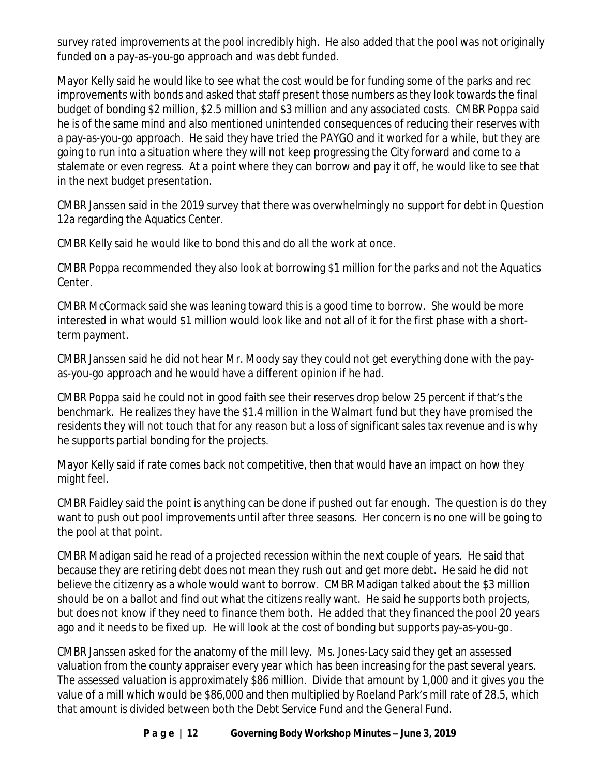survey rated improvements at the pool incredibly high. He also added that the pool was not originally funded on a pay-as-you-go approach and was debt funded.

Mayor Kelly said he would like to see what the cost would be for funding some of the parks and rec improvements with bonds and asked that staff present those numbers as they look towards the final budget of bonding \$2 million, \$2.5 million and \$3 million and any associated costs. CMBR Poppa said he is of the same mind and also mentioned unintended consequences of reducing their reserves with a pay-as-you-go approach. He said they have tried the PAYGO and it worked for a while, but they are going to run into a situation where they will not keep progressing the City forward and come to a stalemate or even regress. At a point where they can borrow and pay it off, he would like to see that in the next budget presentation.

CMBR Janssen said in the 2019 survey that there was overwhelmingly no support for debt in Question 12a regarding the Aquatics Center.

CMBR Kelly said he would like to bond this and do all the work at once.

CMBR Poppa recommended they also look at borrowing \$1 million for the parks and not the Aquatics Center.

CMBR McCormack said she was leaning toward this is a good time to borrow. She would be more interested in what would \$1 million would look like and not all of it for the first phase with a shortterm payment.

CMBR Janssen said he did not hear Mr. Moody say they could not get everything done with the payas-you-go approach and he would have a different opinion if he had.

CMBR Poppa said he could not in good faith see their reserves drop below 25 percent if that's the benchmark. He realizes they have the \$1.4 million in the Walmart fund but they have promised the residents they will not touch that for any reason but a loss of significant sales tax revenue and is why he supports partial bonding for the projects.

Mayor Kelly said if rate comes back not competitive, then that would have an impact on how they might feel.

CMBR Faidley said the point is anything can be done if pushed out far enough. The question is do they want to push out pool improvements until after three seasons. Her concern is no one will be going to the pool at that point.

CMBR Madigan said he read of a projected recession within the next couple of years. He said that because they are retiring debt does not mean they rush out and get more debt. He said he did not believe the citizenry as a whole would want to borrow. CMBR Madigan talked about the \$3 million should be on a ballot and find out what the citizens really want. He said he supports both projects, but does not know if they need to finance them both. He added that they financed the pool 20 years ago and it needs to be fixed up. He will look at the cost of bonding but supports pay-as-you-go.

CMBR Janssen asked for the anatomy of the mill levy. Ms. Jones-Lacy said they get an assessed valuation from the county appraiser every year which has been increasing for the past several years. The assessed valuation is approximately \$86 million. Divide that amount by 1,000 and it gives you the value of a mill which would be \$86,000 and then multiplied by Roeland Park's mill rate of 28.5, which that amount is divided between both the Debt Service Fund and the General Fund.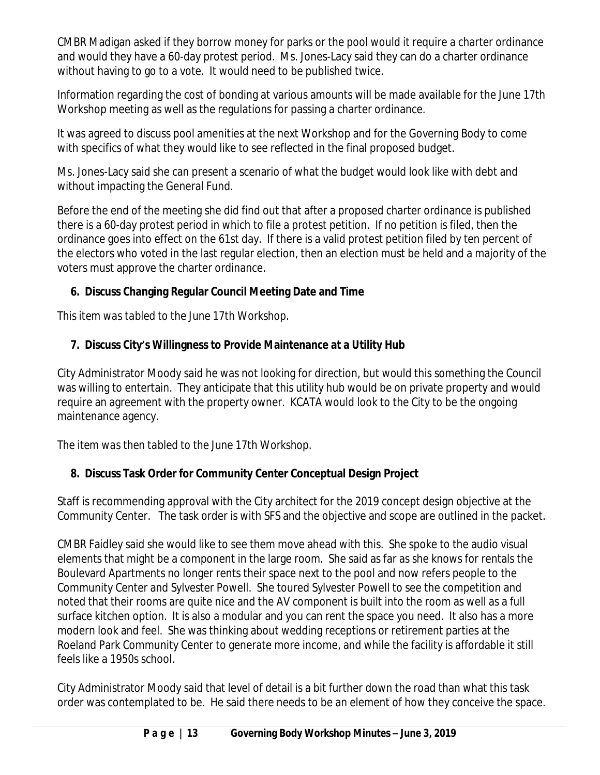CMBR Madigan asked if they borrow money for parks or the pool would it require a charter ordinance and would they have a 60-day protest period. Ms. Jones-Lacy said they can do a charter ordinance without having to go to a vote. It would need to be published twice.

Information regarding the cost of bonding at various amounts will be made available for the June 17th Workshop meeting as well as the regulations for passing a charter ordinance.

It was agreed to discuss pool amenities at the next Workshop and for the Governing Body to come with specifics of what they would like to see reflected in the final proposed budget.

Ms. Jones-Lacy said she can present a scenario of what the budget would look like with debt and without impacting the General Fund.

Before the end of the meeting she did find out that after a proposed charter ordinance is published there is a 60-day protest period in which to file a protest petition. If no petition is filed, then the ordinance goes into effect on the 61st day. If there is a valid protest petition filed by ten percent of the electors who voted in the last regular election, then an election must be held and a majority of the voters must approve the charter ordinance.

## **6. Discuss Changing Regular Council Meeting Date and Time**

*This item was tabled to the June 17th Workshop.*

## **7. Discuss City's Willingness to Provide Maintenance at a Utility Hub**

City Administrator Moody said he was not looking for direction, but would this something the Council was willing to entertain. They anticipate that this utility hub would be on private property and would require an agreement with the property owner. KCATA would look to the City to be the ongoing maintenance agency.

*The item was then tabled to the June 17th Workshop.*

## **8. Discuss Task Order for Community Center Conceptual Design Project**

Staff is recommending approval with the City architect for the 2019 concept design objective at the Community Center. The task order is with SFS and the objective and scope are outlined in the packet.

CMBR Faidley said she would like to see them move ahead with this. She spoke to the audio visual elements that might be a component in the large room. She said as far as she knows for rentals the Boulevard Apartments no longer rents their space next to the pool and now refers people to the Community Center and Sylvester Powell. She toured Sylvester Powell to see the competition and noted that their rooms are quite nice and the AV component is built into the room as well as a full surface kitchen option. It is also a modular and you can rent the space you need. It also has a more modern look and feel. She was thinking about wedding receptions or retirement parties at the Roeland Park Community Center to generate more income, and while the facility is affordable it still feels like a 1950s school.

City Administrator Moody said that level of detail is a bit further down the road than what this task order was contemplated to be. He said there needs to be an element of how they conceive the space.